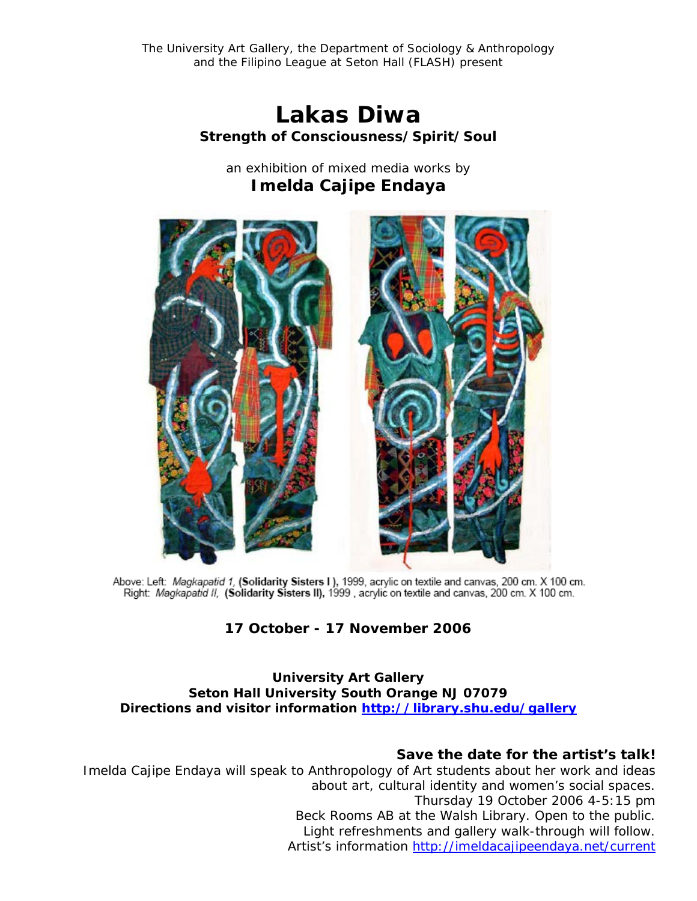The University Art Gallery, the Department of Sociology & Anthropology and the Filipino League at Seton Hall (FLASH) present

> *Lakas Diwa Strength of Consciousness/Spirit/Soul*

an exhibition of mixed media works by **Imelda Cajipe Endaya**



Above: Left: Magkapatid 1, (Solidarity Sisters I), 1999, acrylic on textile and canvas, 200 cm. X 100 cm. Right: Magkapatid II, (Solidarity Sisters II), 1999, acrylic on textile and canvas, 200 cm. X 100 cm.

# **17 October - 17 November 2006**

#### **University Art Gallery Seton Hall University South Orange NJ 07079 Directions and visitor information<http://library.shu.edu/gallery>**

## *Save the date for the artist's talk!*

Imelda Cajipe Endaya will speak to Anthropology of Art students about her work and ideas about art, cultural identity and women's social spaces. Thursday 19 October 2006 4-5:15 pm Beck Rooms AB at the Walsh Library. Open to the public. Light refreshments and gallery walk-through will follow. Artist's information<http://imeldacajipeendaya.net/current>